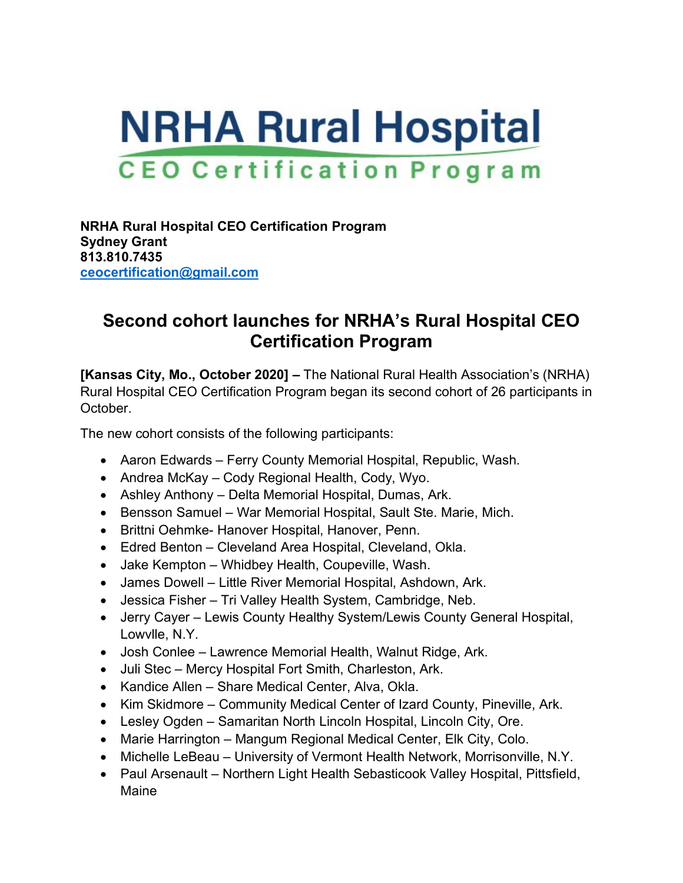## **NRHA Rural Hospital CEO Certification Program**

**NRHA Rural Hospital CEO Certification Program Sydney Grant 813.810.7435 [ceocertification@gmail.com](mailto:ceocertification@gmail.com)**

## **Second cohort launches for NRHA's Rural Hospital CEO Certification Program**

**[Kansas City, Mo., October 2020] –** The National Rural Health Association's (NRHA) Rural Hospital CEO Certification Program began its second cohort of 26 participants in October.

The new cohort consists of the following participants:

- Aaron Edwards Ferry County Memorial Hospital, Republic, Wash.
- Andrea McKay Cody Regional Health, Cody, Wyo.
- Ashley Anthony Delta Memorial Hospital, Dumas, Ark.
- Bensson Samuel War Memorial Hospital, Sault Ste. Marie, Mich.
- Brittni Oehmke- Hanover Hospital, Hanover, Penn.
- Edred Benton Cleveland Area Hospital, Cleveland, Okla.
- Jake Kempton Whidbey Health, Coupeville, Wash.
- James Dowell Little River Memorial Hospital, Ashdown, Ark.
- Jessica Fisher Tri Valley Health System, Cambridge, Neb.
- Jerry Cayer Lewis County Healthy System/Lewis County General Hospital, Lowvlle, N.Y.
- Josh Conlee Lawrence Memorial Health, Walnut Ridge, Ark.
- Juli Stec Mercy Hospital Fort Smith, Charleston, Ark.
- Kandice Allen Share Medical Center, Alva, Okla.
- Kim Skidmore Community Medical Center of Izard County, Pineville, Ark.
- Lesley Ogden Samaritan North Lincoln Hospital, Lincoln City, Ore.
- Marie Harrington Mangum Regional Medical Center, Elk City, Colo.
- Michelle LeBeau University of Vermont Health Network, Morrisonville, N.Y.
- Paul Arsenault Northern Light Health Sebasticook Valley Hospital, Pittsfield, Maine